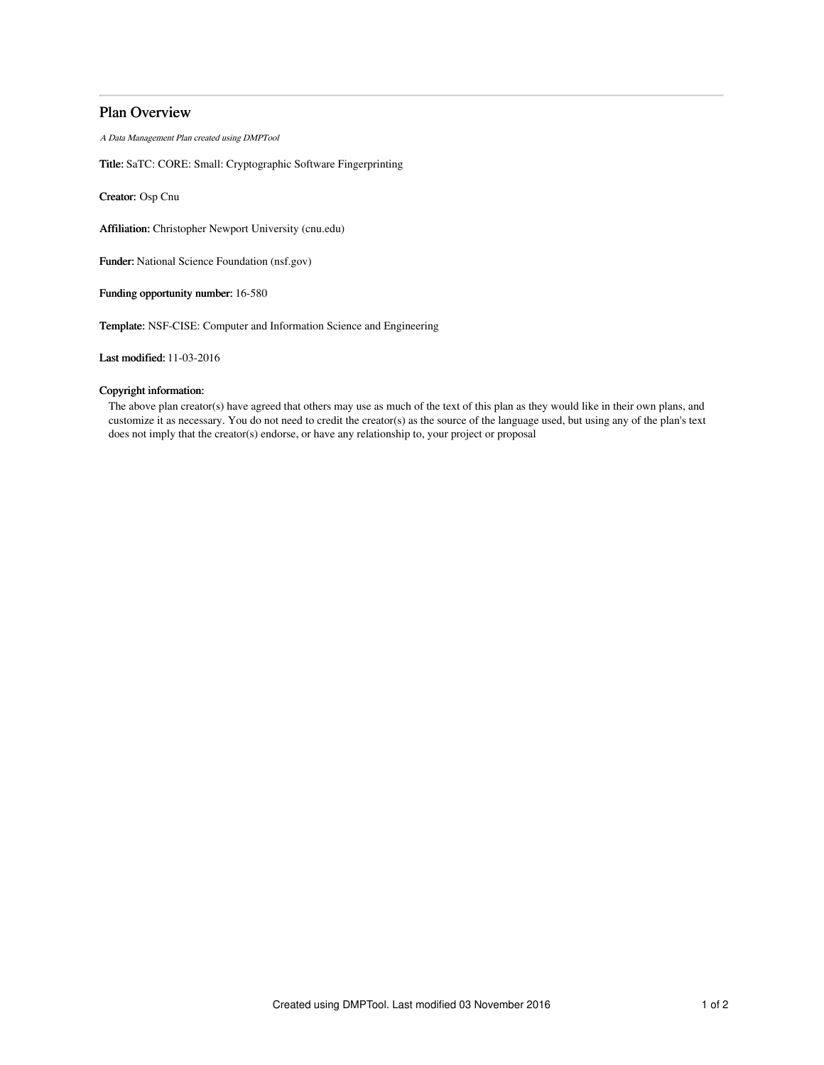# Plan Overview

A Data Management Plan created using DMPTool

Title: SaTC: CORE: Small: Cryptographic Software Fingerprinting

Creator: Osp Cnu

Affiliation: Christopher Newport University (cnu.edu)

Funder: National Science Foundation (nsf.gov)

Funding opportunity number: 16-580

Template: NSF-CISE: Computer and Information Science and Engineering

Last modified: 11-03-2016

## Copyright information:

The above plan creator(s) have agreed that others may use as much of the text of this plan as they would like in their own plans, and customize it as necessary. You do not need to credit the creator(s) as the source of the language used, but using any of the plan's text does not imply that the creator(s) endorse, or have any relationship to, your project or proposal